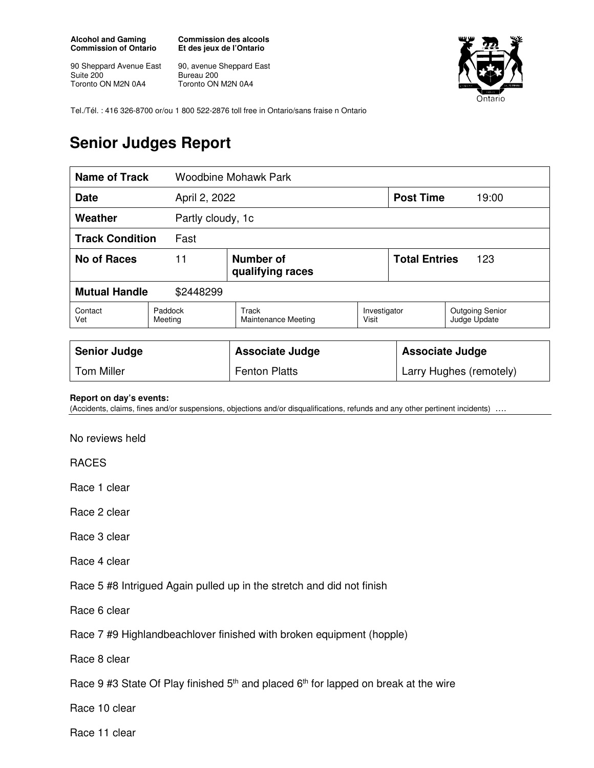**Alcohol and Gaming Commission of Ontario** 

90 Sheppard Avenue East Suite 200 Toronto ON M2N 0A4

**Commission des alcools Et des jeux de l'Ontario** 

90, avenue Sheppard East Bureau 200 Toronto ON M2N 0A4



Tel./Tél. : 416 326-8700 or/ou 1 800 522-2876 toll free in Ontario/sans fraise n Ontario

## **Senior Judges Report**

| <b>Name of Track</b><br><b>Woodbine Mohawk Park</b> |                    |                                     |                       |                        |                                        |  |
|-----------------------------------------------------|--------------------|-------------------------------------|-----------------------|------------------------|----------------------------------------|--|
| April 2, 2022<br><b>Date</b>                        |                    |                                     |                       | <b>Post Time</b>       | 19:00                                  |  |
| Weather                                             | Partly cloudy, 1c  |                                     |                       |                        |                                        |  |
| <b>Track Condition</b>                              | Fast               |                                     |                       |                        |                                        |  |
| <b>No of Races</b><br>11                            |                    | Number of<br>qualifying races       | <b>Total Entries</b>  |                        | 123                                    |  |
| <b>Mutual Handle</b><br>\$2448299                   |                    |                                     |                       |                        |                                        |  |
| Contact<br>Vet                                      | Paddock<br>Meeting | Track<br><b>Maintenance Meeting</b> | Investigator<br>Visit |                        | <b>Outgoing Senior</b><br>Judge Update |  |
| <b>Senior Judge</b>                                 |                    | <b>Associate Judge</b>              |                       | <b>Associate Judge</b> |                                        |  |

## **Report on day's events:**

(Accidents, claims, fines and/or suspensions, objections and/or disqualifications, refunds and any other pertinent incidents)

Tom Miller **Fenton Platts** Larry Hughes (remotely) **Larry Hughes** (remotely)

No reviews held

RACES

Race 1 clear

Race 2 clear

Race 3 clear

Race 4 clear

Race 5 #8 Intrigued Again pulled up in the stretch and did not finish

Race 6 clear

Race 7 #9 Highlandbeachlover finished with broken equipment (hopple)

Race 8 clear

Race 9 #3 State Of Play finished  $5<sup>th</sup>$  and placed  $6<sup>th</sup>$  for lapped on break at the wire

Race 10 clear

Race 11 clear